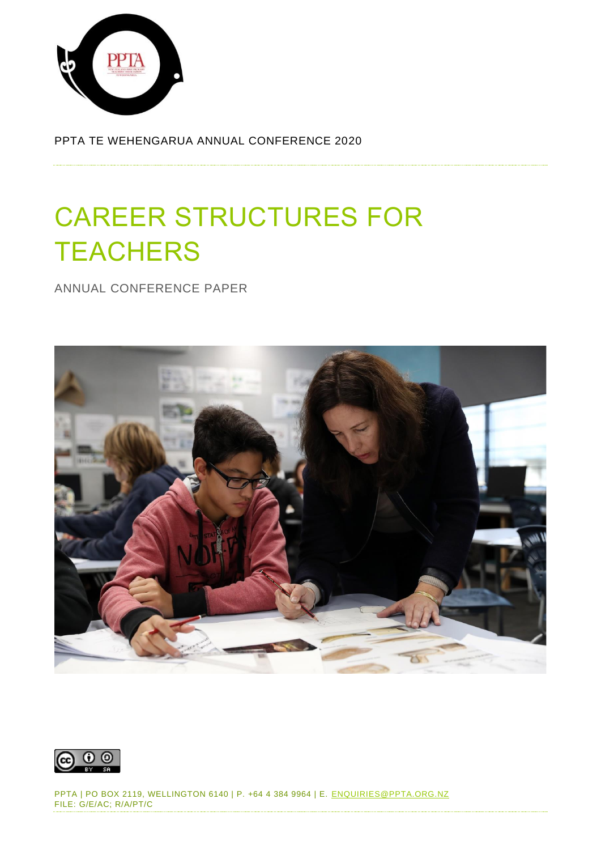

PPTA TE WEHENGARUA ANNUAL CONFERENCE 2020

# CAREER STRUCTURES FOR **TEACHERS**

ANNUAL CONFERENCE PAPER



 $\bigcirc$   $\circ$ 

PPTA | PO BOX 2119, WELLINGTON 6140 | P. +64 4 384 9964 | E. [ENQUIRIES@PPTA.ORG.NZ](mailto:enquiries@ppta.org.nz) FILE: G/E/AC; R/A/PT/C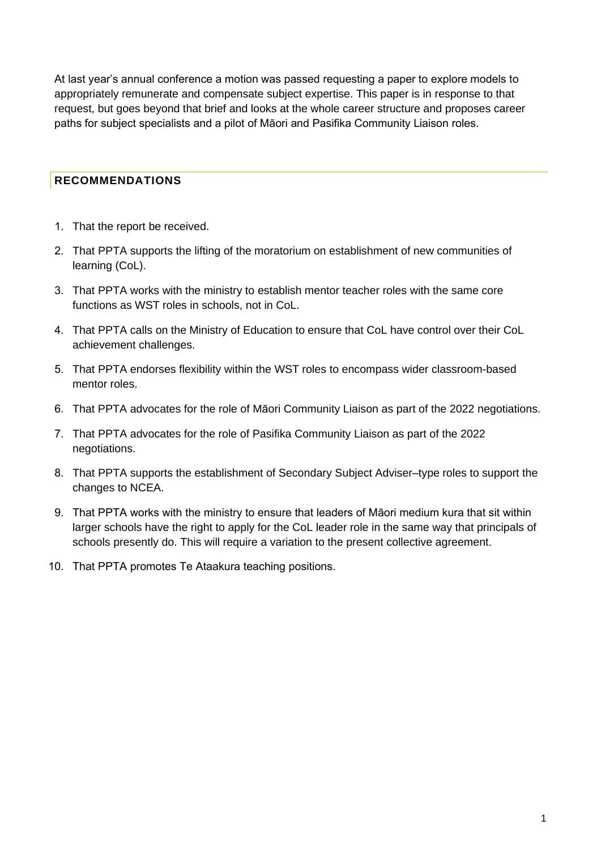At last year's annual conference a motion was passed requesting a paper to explore models to appropriately remunerate and compensate subject expertise. This paper is in response to that request, but goes beyond that brief and looks at the whole career structure and proposes career paths for subject specialists and a pilot of Māori and Pasifika Community Liaison roles.

## <span id="page-1-0"></span>**RECOMMENDATIONS**

- 1. That the report be received.
- 2. That PPTA supports the lifting of the moratorium on establishment of new communities of learning (CoL).
- 3. That PPTA works with the ministry to establish mentor teacher roles with the same core functions as WST roles in schools, not in CoL.
- 4. That PPTA calls on the Ministry of Education to ensure that CoL have control over their CoL achievement challenges.
- 5. That PPTA endorses flexibility within the WST roles to encompass wider classroom-based mentor roles.
- 6. That PPTA advocates for the role of Māori Community Liaison as part of the 2022 negotiations.
- 7. That PPTA advocates for the role of Pasifika Community Liaison as part of the 2022 negotiations.
- 8. That PPTA supports the establishment of Secondary Subject Adviser–type roles to support the changes to NCEA.
- 9. That PPTA works with the ministry to ensure that leaders of Māori medium kura that sit within larger schools have the right to apply for the CoL leader role in the same way that principals of schools presently do. This will require a variation to the present collective agreement.
- 10. That PPTA promotes Te Ataakura teaching positions.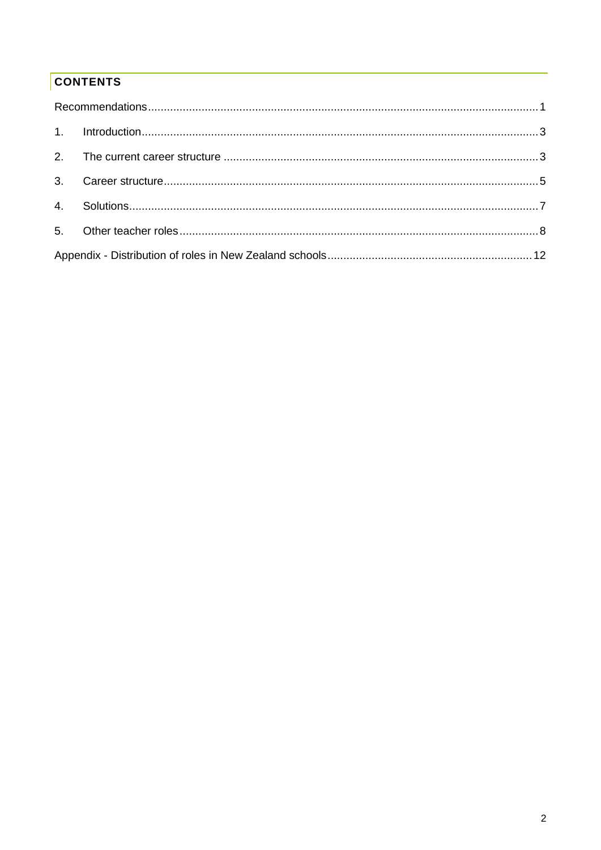# **CONTENTS**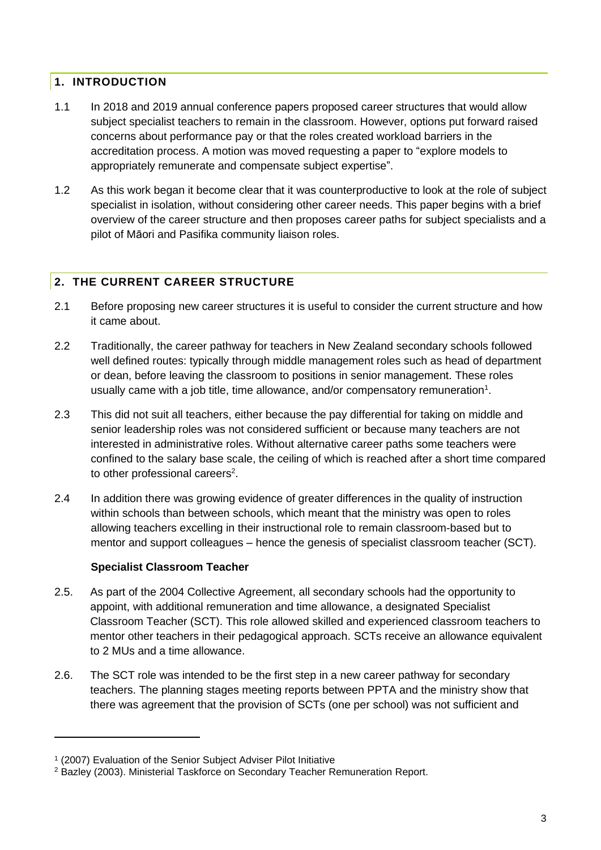## <span id="page-3-0"></span>**1. INTRODUCTION**

- 1.1 In 2018 and 2019 annual conference papers proposed career structures that would allow subject specialist teachers to remain in the classroom. However, options put forward raised concerns about performance pay or that the roles created workload barriers in the accreditation process. A motion was moved requesting a paper to "explore models to appropriately remunerate and compensate subject expertise".
- 1.2 As this work began it become clear that it was counterproductive to look at the role of subject specialist in isolation, without considering other career needs. This paper begins with a brief overview of the career structure and then proposes career paths for subject specialists and a pilot of Māori and Pasifika community liaison roles.

## <span id="page-3-1"></span>**2. THE CURRENT CAREER STRUCTURE**

- 2.1 Before proposing new career structures it is useful to consider the current structure and how it came about.
- 2.2 Traditionally, the career pathway for teachers in New Zealand secondary schools followed well defined routes: typically through middle management roles such as head of department or dean, before leaving the classroom to positions in senior management. These roles usually came with a job title, time allowance, and/or compensatory remuneration<sup>1</sup>.
- 2.3 This did not suit all teachers, either because the pay differential for taking on middle and senior leadership roles was not considered sufficient or because many teachers are not interested in administrative roles. Without alternative career paths some teachers were confined to the salary base scale, the ceiling of which is reached after a short time compared to other professional careers<sup>2</sup>.
- 2.4 In addition there was growing evidence of greater differences in the quality of instruction within schools than between schools, which meant that the ministry was open to roles allowing teachers excelling in their instructional role to remain classroom-based but to mentor and support colleagues – hence the genesis of specialist classroom teacher (SCT).

#### **Specialist Classroom Teacher**

- 2.5. As part of the 2004 Collective Agreement, all secondary schools had the opportunity to appoint, with additional remuneration and time allowance, a designated Specialist Classroom Teacher (SCT). This role allowed skilled and experienced classroom teachers to mentor other teachers in their pedagogical approach. SCTs receive an allowance equivalent to 2 MUs and a time allowance.
- 2.6. The SCT role was intended to be the first step in a new career pathway for secondary teachers. The planning stages meeting reports between PPTA and the ministry show that there was agreement that the provision of SCTs (one per school) was not sufficient and

<sup>1</sup> (2007) Evaluation of the Senior Subject Adviser Pilot Initiative

<sup>&</sup>lt;sup>2</sup> Bazley (2003). Ministerial Taskforce on Secondary Teacher Remuneration Report.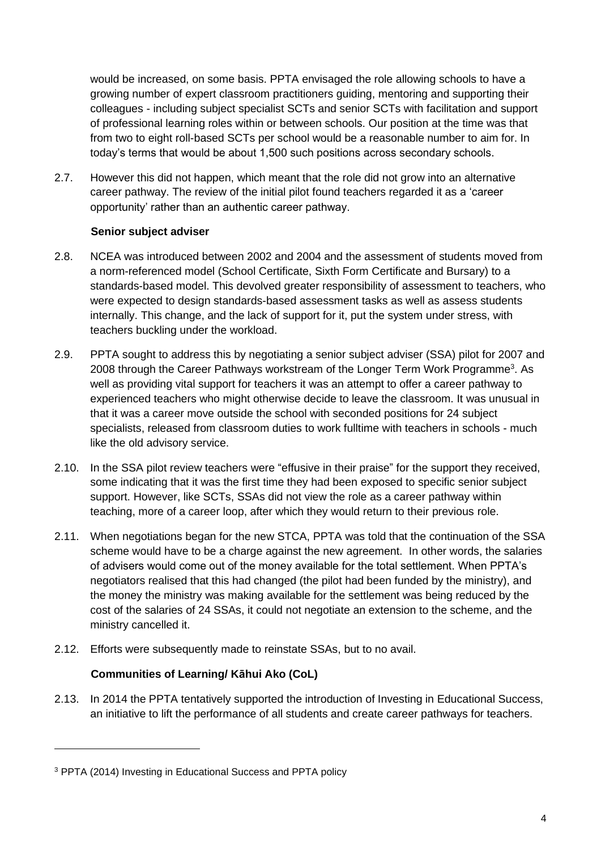would be increased, on some basis. PPTA envisaged the role allowing schools to have a growing number of expert classroom practitioners guiding, mentoring and supporting their colleagues - including subject specialist SCTs and senior SCTs with facilitation and support of professional learning roles within or between schools. Our position at the time was that from two to eight roll-based SCTs per school would be a reasonable number to aim for. In today's terms that would be about 1,500 such positions across secondary schools.

2.7. However this did not happen, which meant that the role did not grow into an alternative career pathway. The review of the initial pilot found teachers regarded it as a 'career opportunity' rather than an authentic career pathway.

#### **Senior subject adviser**

- 2.8. NCEA was introduced between 2002 and 2004 and the assessment of students moved from a norm-referenced model (School Certificate, Sixth Form Certificate and Bursary) to a standards-based model. This devolved greater responsibility of assessment to teachers, who were expected to design standards-based assessment tasks as well as assess students internally. This change, and the lack of support for it, put the system under stress, with teachers buckling under the workload.
- 2.9. PPTA sought to address this by negotiating a senior subject adviser (SSA) pilot for 2007 and 2008 through the Career Pathways workstream of the Longer Term Work Programme<sup>3</sup>. As well as providing vital support for teachers it was an attempt to offer a career pathway to experienced teachers who might otherwise decide to leave the classroom. It was unusual in that it was a career move outside the school with seconded positions for 24 subject specialists, released from classroom duties to work fulltime with teachers in schools - much like the old advisory service.
- 2.10. In the SSA pilot review teachers were "effusive in their praise" for the support they received, some indicating that it was the first time they had been exposed to specific senior subject support. However, like SCTs, SSAs did not view the role as a career pathway within teaching, more of a career loop, after which they would return to their previous role.
- 2.11. When negotiations began for the new STCA, PPTA was told that the continuation of the SSA scheme would have to be a charge against the new agreement. In other words, the salaries of advisers would come out of the money available for the total settlement. When PPTA's negotiators realised that this had changed (the pilot had been funded by the ministry), and the money the ministry was making available for the settlement was being reduced by the cost of the salaries of 24 SSAs, it could not negotiate an extension to the scheme, and the ministry cancelled it.
- 2.12. Efforts were subsequently made to reinstate SSAs, but to no avail.

#### **Communities of Learning/ Kāhui Ako (CoL)**

2.13. In 2014 the PPTA tentatively supported the introduction of Investing in Educational Success, an initiative to lift the performance of all students and create career pathways for teachers.

<sup>3</sup> PPTA (2014) Investing in Educational Success and PPTA policy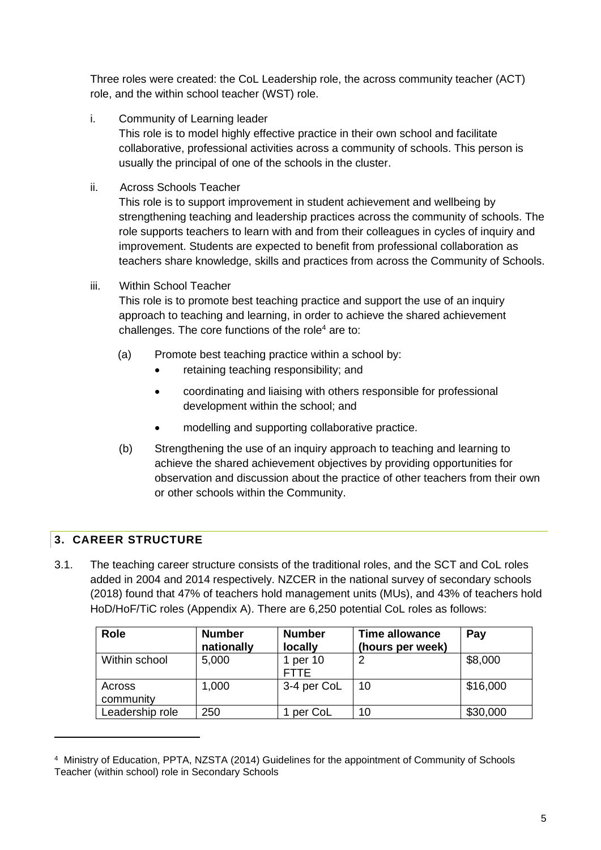Three roles were created: the CoL Leadership role, the across community teacher (ACT) role, and the within school teacher (WST) role.

- i. Community of Learning leader This role is to model highly effective practice in their own school and facilitate collaborative, professional activities across a community of schools. This person is usually the principal of one of the schools in the cluster.
- ii. Across Schools Teacher

This role is to support improvement in student achievement and wellbeing by strengthening teaching and leadership practices across the community of schools. The role supports teachers to learn with and from their colleagues in cycles of inquiry and improvement. Students are expected to benefit from professional collaboration as teachers share knowledge, skills and practices from across the Community of Schools.

iii. Within School Teacher

This role is to promote best teaching practice and support the use of an inquiry approach to teaching and learning, in order to achieve the shared achievement challenges. The core functions of the role $4$  are to:

- (a) Promote best teaching practice within a school by:
	- retaining teaching responsibility; and
	- coordinating and liaising with others responsible for professional development within the school; and
	- modelling and supporting collaborative practice.
- (b) Strengthening the use of an inquiry approach to teaching and learning to achieve the shared achievement objectives by providing opportunities for observation and discussion about the practice of other teachers from their own or other schools within the Community.

# <span id="page-5-0"></span>**3. CAREER STRUCTURE**

3.1. The teaching career structure consists of the traditional roles, and the SCT and CoL roles added in 2004 and 2014 respectively. NZCER in the national survey of secondary schools (2018) found that 47% of teachers hold management units (MUs), and 43% of teachers hold HoD/HoF/TiC roles (Appendix A). There are 6,250 potential CoL roles as follows:

| <b>Role</b>         | <b>Number</b><br>nationally | <b>Number</b><br>locally | <b>Time allowance</b><br>(hours per week) | Pay      |
|---------------------|-----------------------------|--------------------------|-------------------------------------------|----------|
| Within school       | 5,000                       | 1 per 10<br><b>FTTF</b>  | າ                                         | \$8,000  |
| Across<br>community | 1,000                       | 3-4 per CoL              | 10                                        | \$16,000 |
| Leadership role     | 250                         | per CoL                  | 10                                        | \$30,000 |

<sup>4</sup> Ministry of Education, PPTA, NZSTA (2014) Guidelines for the appointment of Community of Schools Teacher (within school) role in Secondary Schools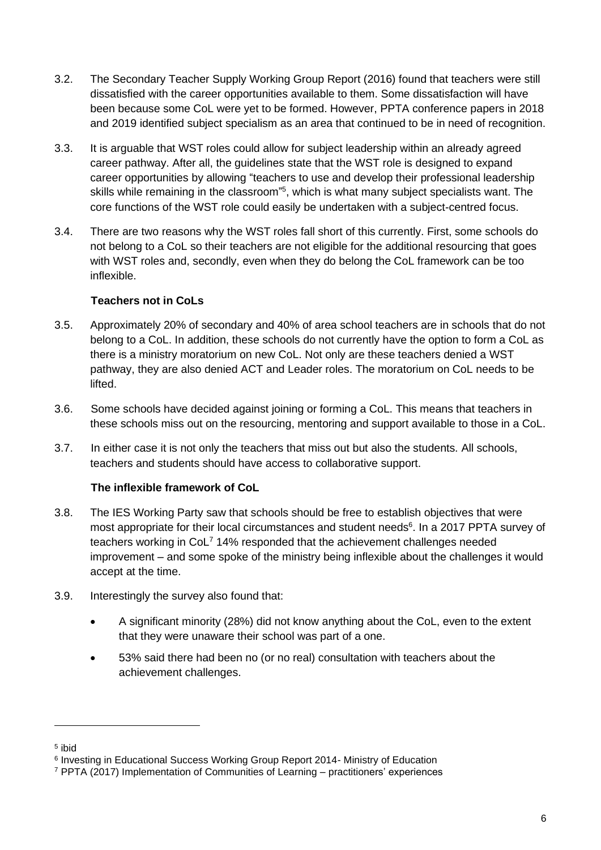- 3.2. The Secondary Teacher Supply Working Group Report (2016) found that teachers were still dissatisfied with the career opportunities available to them. Some dissatisfaction will have been because some CoL were yet to be formed. However, PPTA conference papers in 2018 and 2019 identified subject specialism as an area that continued to be in need of recognition.
- 3.3. It is arguable that WST roles could allow for subject leadership within an already agreed career pathway. After all, the guidelines state that the WST role is designed to expand career opportunities by allowing "teachers to use and develop their professional leadership skills while remaining in the classroom"<sup>5</sup>, which is what many subject specialists want. The core functions of the WST role could easily be undertaken with a subject-centred focus.
- 3.4. There are two reasons why the WST roles fall short of this currently. First, some schools do not belong to a CoL so their teachers are not eligible for the additional resourcing that goes with WST roles and, secondly, even when they do belong the CoL framework can be too inflexible.

#### **Teachers not in CoLs**

- 3.5. Approximately 20% of secondary and 40% of area school teachers are in schools that do not belong to a CoL. In addition, these schools do not currently have the option to form a CoL as there is a ministry moratorium on new CoL. Not only are these teachers denied a WST pathway, they are also denied ACT and Leader roles. The moratorium on CoL needs to be lifted.
- 3.6. Some schools have decided against joining or forming a CoL. This means that teachers in these schools miss out on the resourcing, mentoring and support available to those in a CoL.
- 3.7. In either case it is not only the teachers that miss out but also the students. All schools, teachers and students should have access to collaborative support.

## **The inflexible framework of CoL**

- 3.8. The IES Working Party saw that schools should be free to establish objectives that were most appropriate for their local circumstances and student needs<sup>6</sup>. In a 2017 PPTA survey of teachers working in CoL<sup>7</sup> 14% responded that the achievement challenges needed improvement – and some spoke of the ministry being inflexible about the challenges it would accept at the time.
- 3.9. Interestingly the survey also found that:
	- A significant minority (28%) did not know anything about the CoL, even to the extent that they were unaware their school was part of a one.
	- 53% said there had been no (or no real) consultation with teachers about the achievement challenges.

<sup>5</sup> ibid

<sup>&</sup>lt;sup>6</sup> Investing in Educational Success Working Group Report 2014- Ministry of Education

<sup>7</sup> PPTA (2017) Implementation of Communities of Learning – practitioners' experiences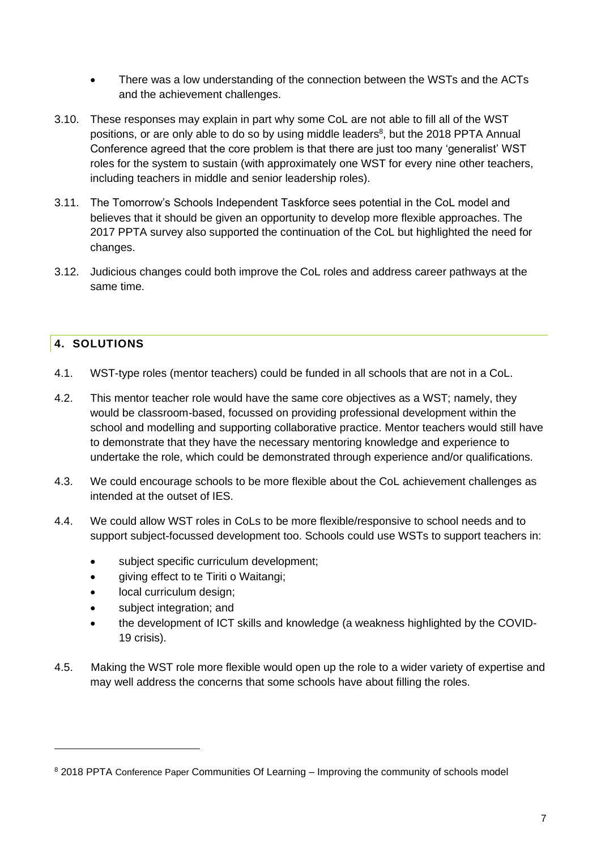- There was a low understanding of the connection between the WSTs and the ACTs and the achievement challenges.
- 3.10. These responses may explain in part why some CoL are not able to fill all of the WST positions, or are only able to do so by using middle leaders<sup>8</sup>, but the 2018 PPTA Annual Conference agreed that the core problem is that there are just too many 'generalist' WST roles for the system to sustain (with approximately one WST for every nine other teachers, including teachers in middle and senior leadership roles).
- 3.11. The Tomorrow's Schools Independent Taskforce sees potential in the CoL model and believes that it should be given an opportunity to develop more flexible approaches. The 2017 PPTA survey also supported the continuation of the CoL but highlighted the need for changes.
- 3.12. Judicious changes could both improve the CoL roles and address career pathways at the same time.

# <span id="page-7-0"></span>**4. SOLUTIONS**

- 4.1. WST-type roles (mentor teachers) could be funded in all schools that are not in a CoL.
- 4.2. This mentor teacher role would have the same core objectives as a WST; namely, they would be classroom-based, focussed on providing professional development within the school and modelling and supporting collaborative practice. Mentor teachers would still have to demonstrate that they have the necessary mentoring knowledge and experience to undertake the role, which could be demonstrated through experience and/or qualifications.
- 4.3. We could encourage schools to be more flexible about the CoL achievement challenges as intended at the outset of IES.
- 4.4. We could allow WST roles in CoLs to be more flexible/responsive to school needs and to support subject-focussed development too. Schools could use WSTs to support teachers in:
	- subject specific curriculum development;
	- giving effect to te Tiriti o Waitangi;
	- local curriculum design;
	- subject integration; and
	- the development of ICT skills and knowledge (a weakness highlighted by the COVID-19 crisis).
- 4.5. Making the WST role more flexible would open up the role to a wider variety of expertise and may well address the concerns that some schools have about filling the roles.

<sup>8 2018</sup> PPTA Conference Paper Communities Of Learning – Improving the community of schools model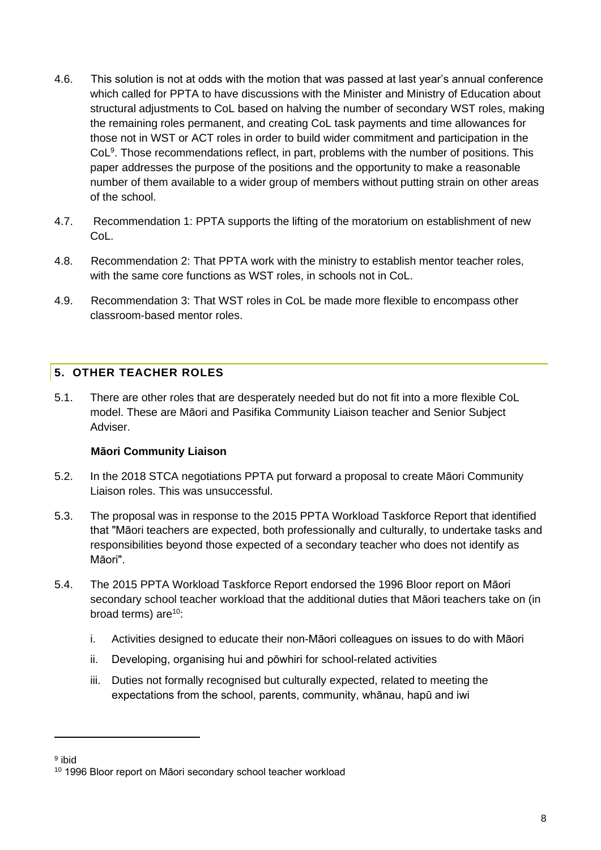- 4.6. This solution is not at odds with the motion that was passed at last year's annual conference which called for PPTA to have discussions with the Minister and Ministry of Education about structural adjustments to CoL based on halving the number of secondary WST roles, making the remaining roles permanent, and creating CoL task payments and time allowances for those not in WST or ACT roles in order to build wider commitment and participation in the CoL<sup>9</sup>. Those recommendations reflect, in part, problems with the number of positions. This paper addresses the purpose of the positions and the opportunity to make a reasonable number of them available to a wider group of members without putting strain on other areas of the school.
- 4.7. Recommendation 1: PPTA supports the lifting of the moratorium on establishment of new CoL.
- 4.8. Recommendation 2: That PPTA work with the ministry to establish mentor teacher roles, with the same core functions as WST roles, in schools not in CoL.
- 4.9. Recommendation 3: That WST roles in CoL be made more flexible to encompass other classroom-based mentor roles.

## <span id="page-8-0"></span>**5. OTHER TEACHER ROLES**

5.1. There are other roles that are desperately needed but do not fit into a more flexible CoL model. These are Māori and Pasifika Community Liaison teacher and Senior Subject Adviser.

#### **Māori Community Liaison**

- 5.2. In the 2018 STCA negotiations PPTA put forward a proposal to create Māori Community Liaison roles. This was unsuccessful.
- 5.3. The proposal was in response to the 2015 PPTA Workload Taskforce Report that identified that "Māori teachers are expected, both professionally and culturally, to undertake tasks and responsibilities beyond those expected of a secondary teacher who does not identify as Māori".
- 5.4. The 2015 PPTA Workload Taskforce Report endorsed the 1996 Bloor report on Māori secondary school teacher workload that the additional duties that Māori teachers take on (in broad terms) are $10:$ 
	- i. Activities designed to educate their non-Māori colleagues on issues to do with Māori
	- ii. Developing, organising hui and pōwhiri for school-related activities
	- iii. Duties not formally recognised but culturally expected, related to meeting the expectations from the school, parents, community, whānau, hapū and iwi

<sup>9</sup> ibid

<sup>10</sup> 1996 Bloor report on Māori secondary school teacher workload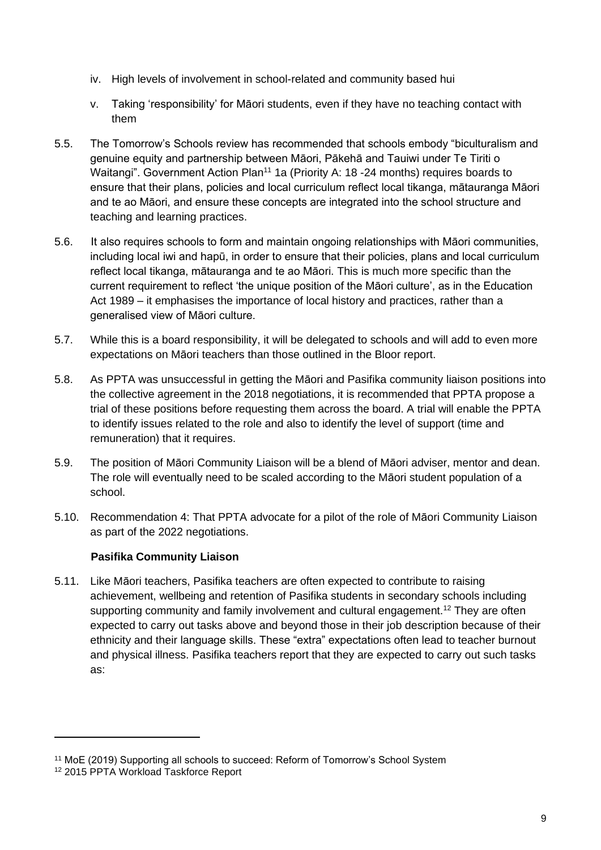- iv. High levels of involvement in school-related and community based hui
- v. Taking 'responsibility' for Māori students, even if they have no teaching contact with them
- 5.5. The Tomorrow's Schools review has recommended that schools embody "biculturalism and genuine equity and partnership between Māori, Pākehā and Tauiwi under Te Tiriti o Waitangi". Government Action Plan<sup>11</sup> 1a (Priority A: 18 -24 months) requires boards to ensure that their plans, policies and local curriculum reflect local tikanga, mātauranga Māori and te ao Māori, and ensure these concepts are integrated into the school structure and teaching and learning practices.
- 5.6. It also requires schools to form and maintain ongoing relationships with Māori communities, including local iwi and hapū, in order to ensure that their policies, plans and local curriculum reflect local tikanga, mātauranga and te ao Māori. This is much more specific than the current requirement to reflect 'the unique position of the Māori culture', as in the Education Act 1989 – it emphasises the importance of local history and practices, rather than a generalised view of Māori culture.
- 5.7. While this is a board responsibility, it will be delegated to schools and will add to even more expectations on Māori teachers than those outlined in the Bloor report.
- 5.8. As PPTA was unsuccessful in getting the Māori and Pasifika community liaison positions into the collective agreement in the 2018 negotiations, it is recommended that PPTA propose a trial of these positions before requesting them across the board. A trial will enable the PPTA to identify issues related to the role and also to identify the level of support (time and remuneration) that it requires.
- 5.9. The position of Māori Community Liaison will be a blend of Māori adviser, mentor and dean. The role will eventually need to be scaled according to the Māori student population of a school.
- 5.10. Recommendation 4: That PPTA advocate for a pilot of the role of Māori Community Liaison as part of the 2022 negotiations.

## **Pasifika Community Liaison**

5.11. Like Māori teachers, Pasifika teachers are often expected to contribute to raising achievement, wellbeing and retention of Pasifika students in secondary schools including supporting community and family involvement and cultural engagement.<sup>12</sup> They are often expected to carry out tasks above and beyond those in their job description because of their ethnicity and their language skills. These "extra" expectations often lead to teacher burnout and physical illness. Pasifika teachers report that they are expected to carry out such tasks as:

<sup>&</sup>lt;sup>11</sup> MoE (2019) Supporting all schools to succeed: Reform of Tomorrow's School System

<sup>12</sup> 2015 PPTA Workload Taskforce Report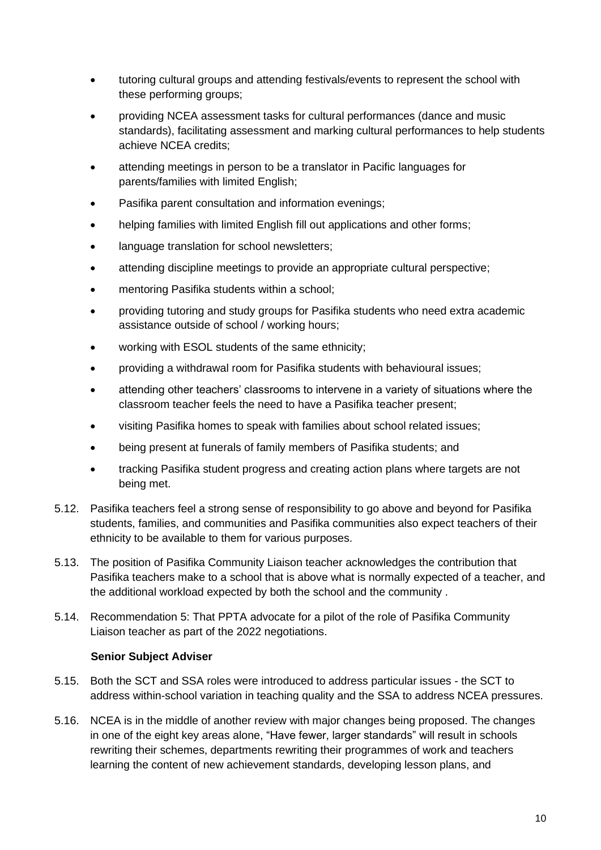- tutoring cultural groups and attending festivals/events to represent the school with these performing groups;
- providing NCEA assessment tasks for cultural performances (dance and music standards), facilitating assessment and marking cultural performances to help students achieve NCEA credits;
- attending meetings in person to be a translator in Pacific languages for parents/families with limited English;
- Pasifika parent consultation and information evenings;
- helping families with limited English fill out applications and other forms;
- language translation for school newsletters;
- attending discipline meetings to provide an appropriate cultural perspective;
- mentoring Pasifika students within a school;
- providing tutoring and study groups for Pasifika students who need extra academic assistance outside of school / working hours;
- working with ESOL students of the same ethnicity;
- providing a withdrawal room for Pasifika students with behavioural issues;
- attending other teachers' classrooms to intervene in a variety of situations where the classroom teacher feels the need to have a Pasifika teacher present;
- visiting Pasifika homes to speak with families about school related issues;
- being present at funerals of family members of Pasifika students; and
- tracking Pasifika student progress and creating action plans where targets are not being met.
- 5.12. Pasifika teachers feel a strong sense of responsibility to go above and beyond for Pasifika students, families, and communities and Pasifika communities also expect teachers of their ethnicity to be available to them for various purposes.
- 5.13. The position of Pasifika Community Liaison teacher acknowledges the contribution that Pasifika teachers make to a school that is above what is normally expected of a teacher, and the additional workload expected by both the school and the community .
- 5.14. Recommendation 5: That PPTA advocate for a pilot of the role of Pasifika Community Liaison teacher as part of the 2022 negotiations.

#### **Senior Subject Adviser**

- 5.15. Both the SCT and SSA roles were introduced to address particular issues the SCT to address within-school variation in teaching quality and the SSA to address NCEA pressures.
- 5.16. NCEA is in the middle of another review with major changes being proposed. The changes in one of the eight key areas alone, "Have fewer, larger standards" will result in schools rewriting their schemes, departments rewriting their programmes of work and teachers learning the content of new achievement standards, developing lesson plans, and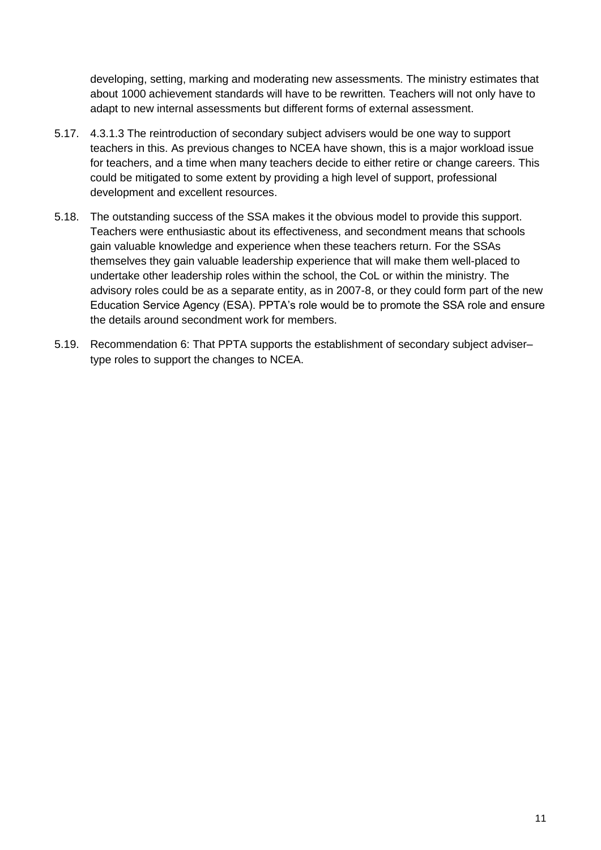developing, setting, marking and moderating new assessments. The ministry estimates that about 1000 achievement standards will have to be rewritten. Teachers will not only have to adapt to new internal assessments but different forms of external assessment.

- 5.17. 4.3.1.3 The reintroduction of secondary subject advisers would be one way to support teachers in this. As previous changes to NCEA have shown, this is a major workload issue for teachers, and a time when many teachers decide to either retire or change careers. This could be mitigated to some extent by providing a high level of support, professional development and excellent resources.
- 5.18. The outstanding success of the SSA makes it the obvious model to provide this support. Teachers were enthusiastic about its effectiveness, and secondment means that schools gain valuable knowledge and experience when these teachers return. For the SSAs themselves they gain valuable leadership experience that will make them well-placed to undertake other leadership roles within the school, the CoL or within the ministry. The advisory roles could be as a separate entity, as in 2007-8, or they could form part of the new Education Service Agency (ESA). PPTA's role would be to promote the SSA role and ensure the details around secondment work for members.
- 5.19. Recommendation 6: That PPTA supports the establishment of secondary subject adviser– type roles to support the changes to NCEA.